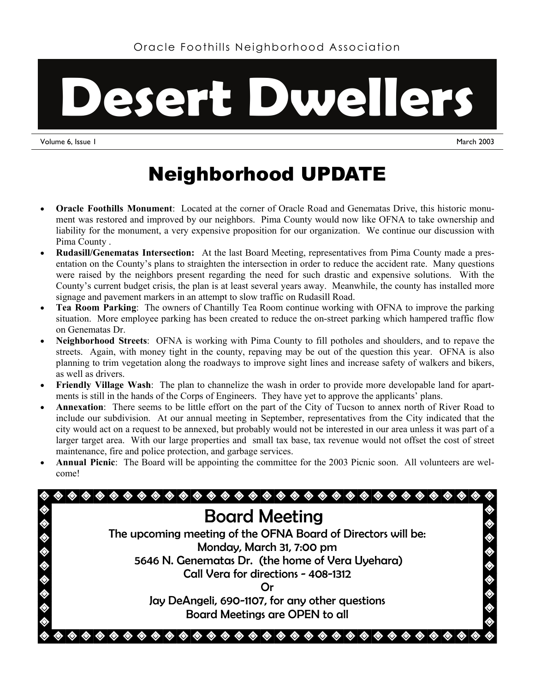

Volume 6, Issue 1 March 2003

## Neighborhood UPDATE

- **Oracle Foothills Monument**: Located at the corner of Oracle Road and Genematas Drive, this historic monument was restored and improved by our neighbors. Pima County would now like OFNA to take ownership and liability for the monument, a very expensive proposition for our organization. We continue our discussion with Pima County .
- **Rudasill/Genematas Intersection:** At the last Board Meeting, representatives from Pima County made a presentation on the County's plans to straighten the intersection in order to reduce the accident rate. Many questions were raised by the neighbors present regarding the need for such drastic and expensive solutions. With the County's current budget crisis, the plan is at least several years away. Meanwhile, the county has installed more signage and pavement markers in an attempt to slow traffic on Rudasill Road.
- **Tea Room Parking**: The owners of Chantilly Tea Room continue working with OFNA to improve the parking situation. More employee parking has been created to reduce the on-street parking which hampered traffic flow on Genematas Dr.
- **Neighborhood Streets**: OFNA is working with Pima County to fill potholes and shoulders, and to repave the streets. Again, with money tight in the county, repaving may be out of the question this year. OFNA is also planning to trim vegetation along the roadways to improve sight lines and increase safety of walkers and bikers, as well as drivers.
- **Friendly Village Wash**: The plan to channelize the wash in order to provide more developable land for apartments is still in the hands of the Corps of Engineers. They have yet to approve the applicants' plans.
- **Annexation**: There seems to be little effort on the part of the City of Tucson to annex north of River Road to include our subdivision. At our annual meeting in September, representatives from the City indicated that the city would act on a request to be annexed, but probably would not be interested in our area unless it was part of a larger target area. With our large properties and small tax base, tax revenue would not offset the cost of street maintenance, fire and police protection, and garbage services.
- **Annual Picnic**: The Board will be appointing the committee for the 2003 Picnic soon. All volunteers are welcome!

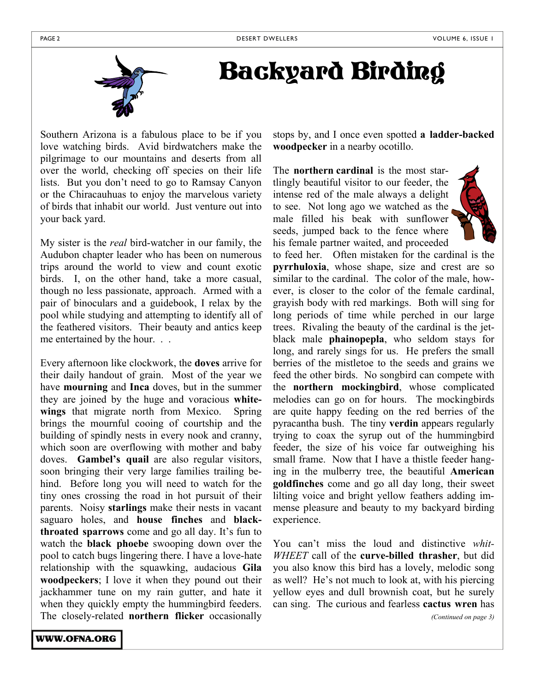

## Backyard Birding

Southern Arizona is a fabulous place to be if you love watching birds. Avid birdwatchers make the pilgrimage to our mountains and deserts from all over the world, checking off species on their life lists. But you don't need to go to Ramsay Canyon or the Chiracauhuas to enjoy the marvelous variety of birds that inhabit our world. Just venture out into your back yard.

My sister is the *real* bird-watcher in our family, the Audubon chapter leader who has been on numerous trips around the world to view and count exotic birds. I, on the other hand, take a more casual, though no less passionate, approach. Armed with a pair of binoculars and a guidebook, I relax by the pool while studying and attempting to identify all of the feathered visitors. Their beauty and antics keep me entertained by the hour. . .

Every afternoon like clockwork, the **doves** arrive for their daily handout of grain. Most of the year we have **mourning** and **Inca** doves, but in the summer they are joined by the huge and voracious **whitewings** that migrate north from Mexico. Spring brings the mournful cooing of courtship and the building of spindly nests in every nook and cranny, which soon are overflowing with mother and baby doves. **Gambel's quail** are also regular visitors, soon bringing their very large families trailing behind. Before long you will need to watch for the tiny ones crossing the road in hot pursuit of their parents. Noisy **starlings** make their nests in vacant saguaro holes, and **house finches** and **blackthroated sparrows** come and go all day. It's fun to watch the **black phoebe** swooping down over the pool to catch bugs lingering there. I have a love-hate relationship with the squawking, audacious **Gila woodpeckers**; I love it when they pound out their jackhammer tune on my rain gutter, and hate it when they quickly empty the hummingbird feeders. The closely-related **northern flicker** occasionally

WWW.OFNA.ORG

stops by, and I once even spotted **a ladder-backed woodpecker** in a nearby ocotillo.

The **northern cardinal** is the most startlingly beautiful visitor to our feeder, the intense red of the male always a delight to see. Not long ago we watched as the male filled his beak with sunflower seeds, jumped back to the fence where his female partner waited, and proceeded



to feed her. Often mistaken for the cardinal is the **pyrrhuloxia**, whose shape, size and crest are so similar to the cardinal. The color of the male, however, is closer to the color of the female cardinal, grayish body with red markings. Both will sing for long periods of time while perched in our large trees. Rivaling the beauty of the cardinal is the jetblack male **phainopepla**, who seldom stays for long, and rarely sings for us. He prefers the small berries of the mistletoe to the seeds and grains we feed the other birds. No songbird can compete with the **northern mockingbird**, whose complicated melodies can go on for hours. The mockingbirds are quite happy feeding on the red berries of the pyracantha bush. The tiny **verdin** appears regularly trying to coax the syrup out of the hummingbird feeder, the size of his voice far outweighing his small frame. Now that I have a thistle feeder hanging in the mulberry tree, the beautiful **American goldfinches** come and go all day long, their sweet lilting voice and bright yellow feathers adding immense pleasure and beauty to my backyard birding experience.

You can't miss the loud and distinctive *whit-WHEET* call of the **curve-billed thrasher**, but did you also know this bird has a lovely, melodic song as well? He's not much to look at, with his piercing yellow eyes and dull brownish coat, but he surely can sing. The curious and fearless **cactus wren** has

*(Continued on page 3)*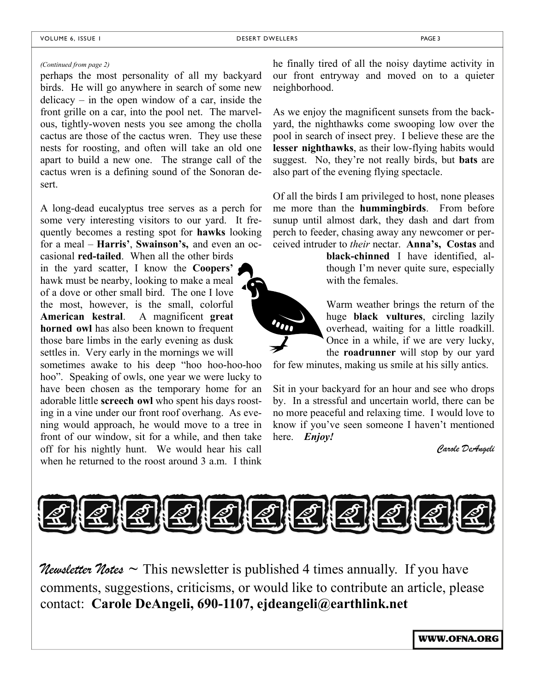## *(Continued from page 2)*

perhaps the most personality of all my backyard birds. He will go anywhere in search of some new delicacy – in the open window of a car, inside the front grille on a car, into the pool net. The marvelous, tightly-woven nests you see among the cholla cactus are those of the cactus wren. They use these nests for roosting, and often will take an old one apart to build a new one. The strange call of the cactus wren is a defining sound of the Sonoran desert.

A long-dead eucalyptus tree serves as a perch for some very interesting visitors to our yard. It frequently becomes a resting spot for **hawks** looking for a meal – **Harris'**, **Swainson's,** and even an oc-

casional **red-tailed**. When all the other birds in the yard scatter, I know the **Coopers'** hawk must be nearby, looking to make a meal of a dove or other small bird. The one I love the most, however, is the small, colorful **American kestral**. A magnificent **great horned owl** has also been known to frequent those bare limbs in the early evening as dusk settles in. Very early in the mornings we will

sometimes awake to his deep "hoo hoo-hoo-hoo hoo". Speaking of owls, one year we were lucky to have been chosen as the temporary home for an adorable little **screech owl** who spent his days roosting in a vine under our front roof overhang. As evening would approach, he would move to a tree in front of our window, sit for a while, and then take off for his nightly hunt. We would hear his call when he returned to the roost around  $3$  a.m. I think

he finally tired of all the noisy daytime activity in our front entryway and moved on to a quieter neighborhood.

As we enjoy the magnificent sunsets from the backyard, the nighthawks come swooping low over the pool in search of insect prey. I believe these are the **lesser nighthawks**, as their low-flying habits would suggest. No, they're not really birds, but **bats** are also part of the evening flying spectacle.

Of all the birds I am privileged to host, none pleases me more than the **hummingbirds**. From before sunup until almost dark, they dash and dart from perch to feeder, chasing away any newcomer or perceived intruder to *their* nectar. **Anna's, Costas** and

> **black-chinned** I have identified, although I'm never quite sure, especially with the females.

Warm weather brings the return of the huge **black vultures**, circling lazily overhead, waiting for a little roadkill. Once in a while, if we are very lucky, the **roadrunner** will stop by our yard

for few minutes, making us smile at his silly antics.

Sit in your backyard for an hour and see who drops by. In a stressful and uncertain world, there can be no more peaceful and relaxing time. I would love to know if you've seen someone I haven't mentioned here. *Enjoy!*

*Carole DeAngeli* 



*Newsletter Notes* ~ This newsletter is published 4 times annually. If you have comments, suggestions, criticisms, or would like to contribute an article, please contact: **Carole DeAngeli, 690-1107, ejdeangeli@earthlink.net**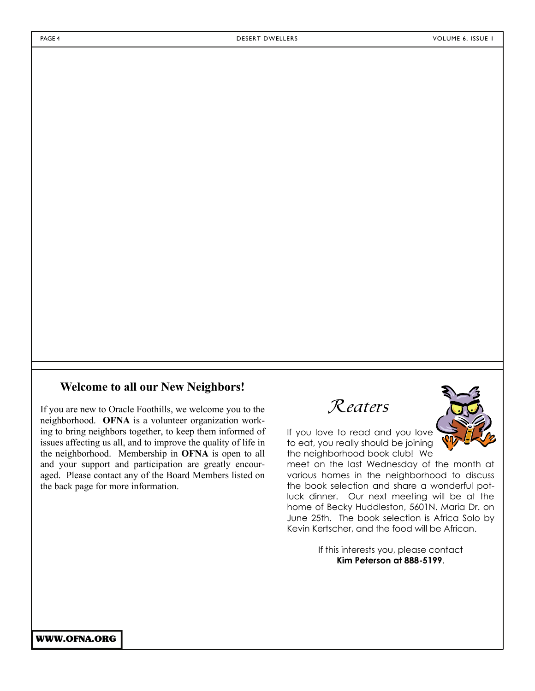## **Welcome to all our New Neighbors!**

If you are new to Oracle Foothills, we welcome you to the neighborhood. **OFNA** is a volunteer organization working to bring neighbors together, to keep them informed of issues affecting us all, and to improve the quality of life in the neighborhood. Membership in **OFNA** is open to all and your support and participation are greatly encouraged. Please contact any of the Board Members listed on the back page for more information.

Reaters

If you love to read and you love to eat, you really should be joining the neighborhood book club! We

meet on the last Wednesday of the month at various homes in the neighborhood to discuss the book selection and share a wonderful potluck dinner. Our next meeting will be at the home of Becky Huddleston, 5601N. Maria Dr. on June 25th. The book selection is Africa Solo by Kevin Kertscher, and the food will be African.

> If this interests you, please contact **Kim Peterson at 888-5199**.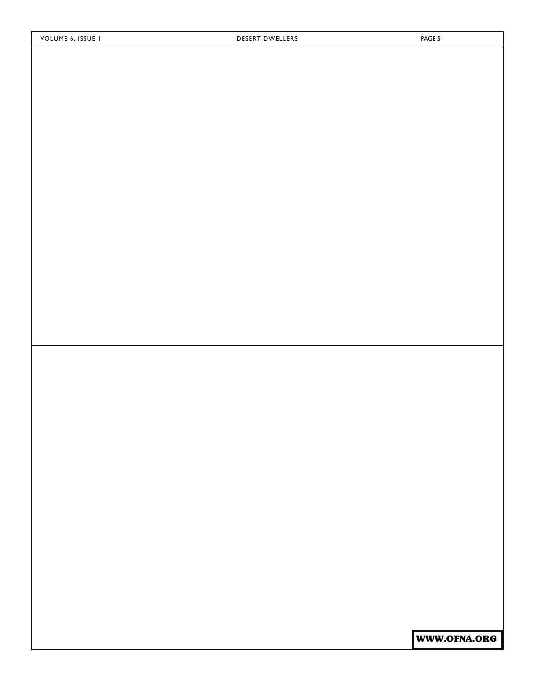WWW.OFNA.ORG